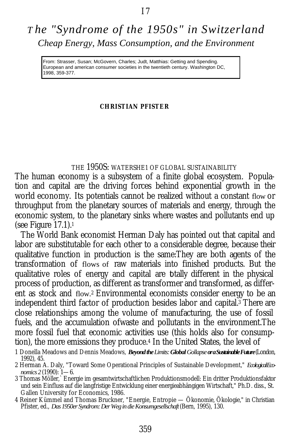# *T he "Syndrome of the 1950s" in Switzerland Cheap Energy, Mass Consumption, and the Environment*

European and american consumer societies in the twentieth century. Washington DC, 1998, 359-377.

#### **CHRISTIAN PFISTER**

## THE 1950S: WATERSHE1 OF GLOBAL SUSTAINABILITY

The human economy is a subsystem of a finite global ecosystem. Population and capital are the driving forces behind exponential growth in the world economy. Its potentials cannot be realized without a constant flow or throughput from the planetary sources of materials and energy, through the economic system, to the planetary sinks where wastes and pollutants end up (see Figure  $17.1$ ).

The World Bank economist Herman Daly has pointed out that capital and labor are substitutable for each other to a considerable degree, because their qualitative function in production is the same:They are both agents of the transformation of flows of raw materials into finished products. But the qualitative roles of energy and capital are totally different in the physical process of production, as different as transformer and transformed, as different as stock and flow.<sup>2</sup> Environmental economists consider energy to be an independent third factor of production besides labor and capital. <sup>3</sup> There are close relationships among the volume of manufacturing, the use of fossil fuels, and the accumulation ofwaste and pollutants in the environment.The more fossil fuel that economic activities use (this holds also for consumption), the more emissions they produce.4 In the United States, the level of From: Strasser, Susan; McGovern, Charles; Judt, Matthias: Getting and Spending.<br>
Europan and amoteian consumer societies in the twentieth century, Washington D<br>
1998, 369-377.<br>
THE 1950S: WATERSHEI OF GLOBAL SUSTAINAB<br>
In

4 Reiner Kümmel and Thomas Bruckner, "Energie, Entropie — Ökonomie, Ökologie," in Christian Pfister, ed., *Das 1950er Syndrom: Der Weg in die Konsumgesellschaft* (Bern, 1995), 130.

<sup>1</sup> Donella Meadows and Dennis Meadows, *Beyond the Limits: Global Gollapse or a Sustainable Future* (London, 1992), 45.

<sup>2</sup> Herman A. Daly, "Toward Some Operational Principles of Sustainable Development," *Ecological Economics 2* (1990): 1—6.

<sup>3</sup> Thomas Möller,` Energie im gesamtwirtschaftlichen Produktionsmodell: Ein dritter Produktionsfaktor und sein Einfluss auf die langfristige Entwicklung einer energieabhängigen Wirtschaft," Ph.D. diss., St. Gallen University for Economics, 1986.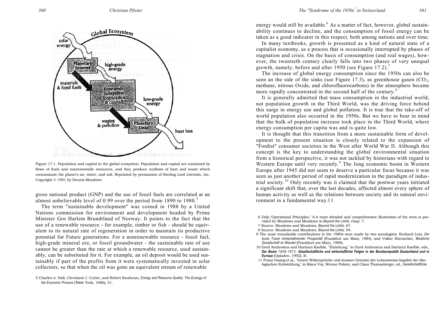

Figure 17.1. Population and capital in the global ecosystem. Population and capital are sustained by flows of fuels and nonrenewable resources, and they produce outflows of heat and waste which contaminate the planet's air, water, and soil. Reprinted by permission of Sterling Lord Literistic, Inc. Copyright © 1991 by Dennis Meadows.

gross national product (GNP) and the use of fossil fuels are correlated at an almost unbelievable level of 0.99 over the period from 1890 to 1980.<sup>5</sup>

The term "sustainable development" was coined in 1988 by a United Nations commission for environment and development headed by Prime Minister Gro Harlem Brundtland of Norway. It points to the fact that the use of a renewable resource - for example, timber or fish - should be equivalent to its natural rate of regeneration in order to maintain its productive potential for Future generations. For a nonrenewable resource - fossil fuel, high-grade mineral ore, or fossil groundwater - the sustainable rate of use cannot be greater than the rate at which a renewable resource, used sustainably, can be substituted for it. For example, an oil deposit would be used sustainably if part of the profits from it were systematically invested in solar collectors, so that when the oil was gone an equivalent stream of renewable

energy would still be available.<sup>6</sup> As a matter of fact, however, global sustainability continues to decline, and the consumption of fossil energy can be taken as a good indicator in this respect, both among nations and over time.

In many textbooks, growth is presented as a kind of natural state of a capitalist economy, as a process that is occasionally interrupted by phases of stagnation and crisis. On the basis of consumption (and real wages), however, the twentieth century clearly falls into two phases of very unequal growth, namely, before and after 1950 (see Figure 17.2).<sup>7</sup>

The increase of global energy consumption since the 1950s can also be seen an the side of the sinks (see Figure 17.3), as greenhouse gasen  $(CO<sub>2</sub>)$ , methane, nitrous Oxide, and chlorofluorocarbons) in the atmosphere became more rapidly concentrated in the second half of the century.<sup>8</sup>

It is generally admitted that mass consumption in the industrial world, not population growth in the Third World, was the driving force behind this surge in energy use and global pollution. It is true that the take-off of world population also occurred in the 1950s. But we have to bear in mind that the bulk of population increase took place in the Third World, where energy consumption per capita was and is quite low.

It is thought that this transition from a more sustainable form of development to the present situation is closely related to the expansion of "Fordist" consumer societies in the West after World War II. Although this concept is the key to understanding the global environmental situation from a historical perspective, it was not tackled by historians with regard to Western Europe until very recently.<sup>9</sup> The Jong economic boom in Western Europe after 1945 did not seem to deserve a particular focus because it was seen as just another period of rapid modernization in the paradigm of industrial society.10 Only recently was it claimed that the postwar years initiated a significant shift that, over the last decades, affected almost every sphere of human activity as well as the relations between society and its natural environment in a fundamental way.l l

6 Daly,"Operational Principles," 6.A more detailed and comprehensive illustration of the term is provided by Meadows and Meadows in *Beyond the Limits,* chap. 7.

7 Source: Meadows and Meadows, *Beyond the Limits,* 67.

8 Source: Meadows and Meadows, *Beyond the Limits,* 94.

- 9 The most remarkable contributions in the 1980s were made by two sociologists: Burkard Lutz, *Der kurze Traum immerwährender Prosperität* (Frankfurt am Main, 1984), and Volker Bornschier, *Westliche Gesellschaft im Wandel* (Frankfurt am Main, 1988).
- 10 Gerd Ambrosius and Hartmut Kaelble, "Einleitung," in Gerd Ambrosius and Hartmut Kaelble, eds., *Der Boom 1948-1973: Gesellschaftliche und wirtschaftliche Folgen in der Bundesrepublik Deutschland und in Europa* (Opladen, 1992), B.
- 11 Franz Ossing et al., "Innere Widersprüche und äussere Grenzen der Lebensweise:Aspekte der ökologischen Entwicklung," in Klaus Voy, Werner Polster, and Clans Thomasberger, ed., *Gesellschaftliche*

<sup>5</sup> Charles A. Hall, Cleveland J. Cutler, and Robert Kaufuran, *Energy and Resource Quality: The Ecology of the Economic Process* (New York, 1986), 51.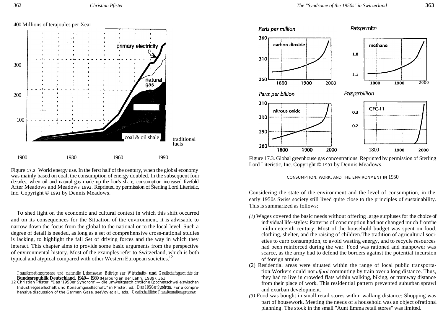



Figure 17.2. World energy use. In the ferst half of the century, when the global economy was mainly based on coal, the consumption of energy doubled. In the subsequent four decades, when oil and natural gas made up the lion's share, consumption increased fivefold. After Meadows and Meadows 1992. Reprinted by permission of Sterling Lord Literistic, Inc. Copyright © 1991 by Dennis Meadows.

fuels

To shed light on the economic and cultural context in which this shift occurred and on its consequences for the Situation of the environment, it is advisable to narrow down the focus from the global to the national or to the local level. Such a degree of detail is needed, as long as a set of comprehensive cross-national studies is lacking, to highlight the fall Set of driving forces and the way in which they interact. This chapter aims to provide some basic arguments from the perspective of environmental history. Most of the examples refer to Switzerland, which is both typical and atypical compared with other Western European societies.<sup>12</sup>

*Transformationsprozesse und materielle Lebensweise: Beiträge zur Wirtschafts- und Gesellschaftsgeschichte der Bundesrepublik Deutschland, 1949—1989* (Marburg an der Lahn, 1989), 363. 12 Christian Pfister, "Das '1950er Syndrom' — die umweltgeschichtliche Epochenschwelle zwischen

Industriegesellschaft und Konsumgesellschaft," in Pfister, ed., *Das 1950er Syndrom.* For a comprehensive discussion of the German Gase, seeVoy et al., eds., *Gesellschaftliche Transformationsprozesse.*



Figure 17.3. Global greenhouse gas concentrations. Reprinted by permission of Sterling Lord Literistic, Inc. Copyright © 1991 by Dennis Meadows.

#### CONSUMPTION, WORK, AND THE ENVIRONMENT IN 1950

Considering the state of the environment and the level of consumption, in the early 1950s Swiss society still lived quite close to the principles of sustainability. This is summarized as follows:

- *(1)* Wages covered the basic needs without offering large surpluses for the choice of individual life-styles: Patterns of consumption had not changed much fromthe midnineteenth century. Most of the household budget was spent on food, clothing, shelter, and the raising of children.The tradition of agricultural societies to curb consumption, to avoid wasting energy, and to recycle resources had been reinforced during the war. Food was rationed and manpower was scarce, as the army had to defend the borders against the potential incursion of foreign armies.
- (2) Residential areas were situated within the range of local public transportation:Workers could not *afford* commuting by train over a long distance. Thus, they had to live in crowded flats within walking, biking, or tramway distance from their place of work. This residential pattern prevented suburban sprawl and exurban development.
- *(3)* Food was bought in small retail stores within walking distance: Shopping was part of housework. Meeting the needs of a household was an object ofrational planning. The stock in the small "Aunt Emma retail stores" was limited.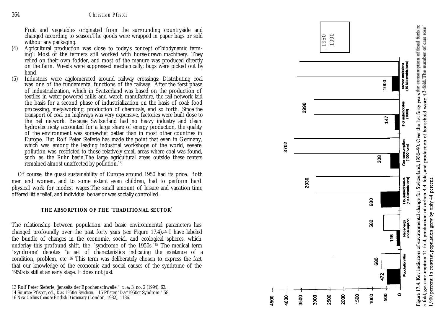Fruit and vegetables originated from the surrounding countryside and changed according to season.The goods were wrapped in paper bags or sold without any packaging.

- (4) Agricultural production was close to today's concept of biodynamic farming " : Most of the farmers still worked with horse -drawn machinery. They relied on their own fodder, and most of the manure was produced directly on the farm. Weeds were suppressed mechanically; bugs were picked out by hand.
- (5) Industries were agglomerated around railway crossings: Distributing coal was one of the fundamental functions of the railway. After the ferst phase of industrialization, which in Switzerland was based on the production of textiles in water -powered mills and watch manufacture, the rail network laid the basis for a second phase of industrialization on the basis of coal: food processing, metalworking, production of chemicals, and so forth. Since the transport of coal on highways was very expensive, factories were built dose to the rail network. Because Switzerland had no heavy industry and clean hydroelectricity accounted for a large share of energy production, the quality of the environment was somewhat better than in most other countries in Europe. But Rolf Peter Sieferle has made the point that even in Germany, which was among the leading industrial workshops of the world, severe pollution was restricted to those relatively small areas where coal was found, such as the Ruhr basin.The large agricultural areas outside these centers remained almost unaffected by pollution.<sup>13</sup> **Example according to season the probability of Europe Towards (and the season of the means of the means of the means of the means of the season of the means of the means of the means of the season of the means of the me**

Of course, the quasi sustainability of Europe around 1950 had its price. Both men and women, and to some extent even children, had to perform hard physical work for modest wages.The small amount of leisure and vacation time offered little relief, and individual behavior was socially controlled.

#### **THE ABSORPTION OF THE "TRADITIONAL SECTOR** "

The relationship between population and basic environmental parameters has changed profoundly over the past forty years (see Figure 17.4).14 I have labeled the bundle of changes in the economic, social, and ecological spheres, which underlay this profound shift, the "syndrome of the 1950s."15 The medical term "syndrome " denotes "a set of characteristics indicating the existence of a condition, problem, etc"16 This term was deliberately chosen to express the fact that our knowledge of the economic and social causes of the syndrome of the 1950s is still at an early stage. It does not just

13 Rolf Peter Sieferle, 'jenseits der Epochenschwelle," *Gaia* 3, no. 2 (1994): 63. 14 Source: Pfister, ed., *Das 1950er Syndrom.* 15 Pfister,"Das'1950er Syndrom:" 58.

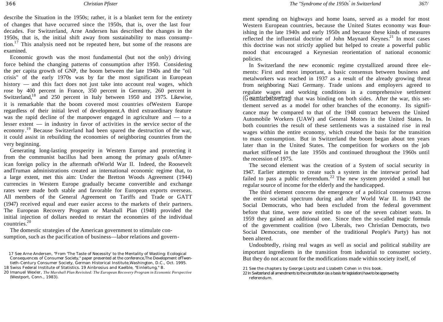describe the Situation in the 1950s; rather, it is a blanket term for the entirety of changes that have occurred since the 1950s, that is, over the last four decades. For Switzerland, Arne Andersen has described the changes in the 1950s, that is, the initial shift away from sustainability to mass consump tion.<sup>17</sup> This analysis need not be repeated here, but some of the reasons are examined.

Economic growth was the most fundamental (but not the only) driving force behind the changing patterns of consumption after 1950. Considering the per capita growth of GNP, the boom between the late 1940s and the "oil crisis" of the early 1970s was by far the most significant in European history — and this fact does not just take into account real wages, which rose by 400 percent in France, 350 percent in Germany, 260 percent in Switzerland,<sup>18</sup> and 250 percent in Italy between 1950 and 1975. Likewise, it is remarkable that the boom covered most countries ofWestern Europe regardless of their initial level of development.A third extraordinary feature was the rapid decline of the manpower engaged in agriculture and — to a lesser extent — in industry in favor of activities in the service sector of the economy.<sup>19</sup> Because Switzerland had been spared the destruction of the war, it could assist in rebuilding the economies of neighboring countries from the very beginning.

Generating long-lasting prosperity in Western Europe and protecting it from the communist bacillus had been among the primary goals ofAmerican foreign policy in the aftermath ofWorld War II. Indeed, the Roosevelt andTruman administrations created an international economic regime that, to a large extent, met this aim: Under the Bretton Woods Agreement (1944) currencies in Western Europe gradually became convertible and exchange rates were made both stable and favorable for European exports overseas. All members of the General Agreement on Tariffs and Trade or GATT (1947) received equal and euer easier access to the markets of their partners. The European Recovery Program or Marshall Plan (1948) provided the initial injection of dollars needed to restart the economies of the individual countries.<sup>20</sup>

The domestic strategies of the American government to stimulate consumption, such as the pacification of business—labor relations and govern-

17 See Arne Andersen, "From 'The Taste of Necessity' to the Mentality of Wasting: Ecological Consequences of Consumer Society," paper presented at the conference,The Development ofTwentieth-Century Consumer Society, German Historical Institute,Washington, D.C., Oct. 1995.

18 Swiss Federal Institute of Statistics. 19 Ainbrosius and Kaelble, "Einleitung," B.

20 Imanuel Wexler, *The Marshall Plan Revisited: The European Recovery Program in Economic Perspective*  (Westport, Conn., 1983).

ment spending on highways and home loans, served as a model for most Western European countries, because the United States economy was flourishing in the late 1940s and early 1950s and because these kinds of measures reflected the influential doctrine of John Maynard Keynes.<sup>21</sup> In most cases this doctrine was not strictly applied but helped to create a powerful public mood that encouraged a Keynesian reorientation of national economic policies.

In Switzerland the new economic regime crystallized around three elements: First and most important, a basic consensus between business and metalworkers was reached in 1937 as a result of the already growing threat from neighboring Nazi Germany. Trade unions and employers agreed to regulate wages and working conditions in a comprehensive settlement *(Gesamtarbeitsvertrag)* that was binding on both sides. After the war, this settlement served as a model for other branches of the economy. Its significance may be compared to that of the 1948 contract between the United Automobile Workers (UAW) and General Motors in the United States. In both countries the result of these settlements was a sustained rise in real wages within the entire economy, which created the basis for the transition to mass consumption. But in Switzerland the boom began about ten years later than in the United States. The competition for workers on the job market stiffened in the late 1950s and continued throughout the 1960s until the recession of 1975.

The second element was the creation of a System of social security in 1947. Earlier attempts to create such a system in the interwar period had failed to pass a public referendum.<sup>22</sup> The new system provided a small but regular source of income for the elderly and the handicapped.

The third element concerns the emergence of a political consensus across the entire societal spectrum during and after World War II. In 1943 the Social Democrats, who had been excluded from the federal government before that time, were now entitled to one of the seven cabinet seats. In 1959 they gained an additional one. Since then the so-called magic formula of the government coalition (two Liberals, two Christian Democrats, two Social Democrats, one member of the traditional People's Party) has not been altered.

Undoubtedly, rising real wages as well as social and political stability are important ingredients in the transition from industrial to consumer society. But they do not account for the modifications made within society itself, of

<sup>21</sup> See the chapters by George Lipsitz and Lizabeth Cohen in this book.

<sup>22</sup> In Switzerland all amendments to the constitution (as a basis for legislation) have to be approved by referendum.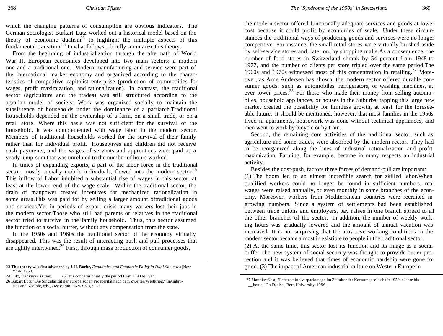which the changing patterns of consumption are obvious indicators. The German sociologist Burkart Lutz worked out a historical model based on the theory of economic dualism<sup>23</sup> to highlight the multiple aspects of this fundamental transition.<sup>24</sup> In what follows, I briefly summarize this theory.

From the beginning of industrialization through the aftermath of World War II, European economies developed into two main sectors: a modern one and a traditional one. Modern manufacturing and service were part of the international market economy and organized according to the characteristics of competitive capitalist enterprise (production of commodities for wages, profit maximization, and rationalization). In contrast, the traditional sector (agriculture and the trades) was still structured according to the agrarian model of society: Work was organized socially to maintain the subsistence of households under the dominance of a patriarch.Traditional households depended on the ownership of a farm, on a small trade, or on **a**  retail store. Where this basis was not sufficient for the survival of the household, it was complemented with wage labor in the modern sector. Members of traditional households worked for the survival of their family rather than for individual profit. Housewives and children did not receive cash payments, and the wages of servants and apprentices were paid as a yearly lump sum that was unrelated to the number of hours worked.

In times of expanding exports, a part of the labor force in the traditional sector, mostly socially mobile individuals, flowed into the modern sector.<sup>25</sup> This inflow of Labor inhibited a substantial rise of wages in this sector, at least at the lower end of the wage scale. Within the traditional sector, the drain of manpower created incentives for mechanized rationalization in some areas.This was paid for by selling a larger amount oftraditional goods and services.Yet in periods of export crisis many workers lost their jobs in the modern sector.Those who still had parents or relatives in the traditional sector tried to survive in the family household. Thus, this sector assumed the function of a social buffer, without any compensation from the state.

In the 1950s and 1960s the traditional sector of the economy virtually disappeared. This was the result of interacting push and pull processes that are tightly intertwined.<sup>26</sup> First, through mass production of consumer goods,

23 **This theory** was first **advanced** by J. H. **Boeke,** *Economics and Economic Policy in Dual Societies* (New **York,** 1953).

the modern sector offered functionally adequate services and goods at lower cost because it could profit by economies of scale. Under these circumstances the traditional ways of producing goods and services were no longer competitive. For instance, the small retail stores were virtually brushed aside by self-service stores and, later on, by shopping malls.As a consequence, the number of food stores in Switzerland shrank by 54 percent from 1948 to 1977, and the number of clients per store tripled over the same period.The 1960s and 1970s witnessed most of this concentration in retailing.<sup>27</sup> Moreover, as Arne Andersen has shown, the modern sector offered durable consumer goods, such as automobiles, refrigerators, or washing machines, at ever lower prices.<sup>28</sup> For those who made their money from selling automobiles, household appliances, or houses in the Suburbs, tapping this large new market created the possibility for limitless growth, at least for the foreseeable future. It should be mentioned, however, that most families in the 1950s lived in apartments, housework was done without technical appliances, and men went to work by bicycle or by train.

Second, the remaining core activities of the traditional sector, such as agriculture and some trades, were absorbed by the modern rector. They had to be reorganized along the lines of industrial rationalization and profit maximization. Farming, for example, became in many respects an industrial activity.

Besides the cost-push, factors three forces of demand-pull are important:

(1) The boom led to an almost incredible search for skilled labor.When qualified workers could no longer be found in sufficient numbers, real wages were raised annually, or even monthly in some branches of the economy. Moreover, workers from Mediterranean countries were recruited in growing numbers. Since a system of settlements had been established between trade unions and employers, pay raises in one branch spread to all the other branches of the sector. In addition, the number of weekly working hours was gradually lowered and the amount of annual vacation was increased. It is not surprising that the attractive working conditions in the modern sector became almost irresistible to people in the traditional sector.

(2) At the same time, this sector lost its function and its image as a social buffer.The new system of social security was thought to provide better protection and it was believed that times of economic hardship were gone for good. (3) The impact of American industrial culture on Western Europe in

<sup>24</sup> Lutz, *Der kurze Traum.* 25 This concerns chiefly the period from 1890 to 1914.

<sup>26</sup> Bukart Lutz,"Die Singularität der europäischen Prosperität nach dem Zweiten Weltkrieg," inAmbrosius and Kaelble, eds., *Der Boom 1948-1973,* 50-1.

<sup>27</sup> Matthias Nast, "Lebensmittelverpackungen im Zeitalter der Konsumgesellschaft: 1950er Jahre bis heute," Ph.D. diss., Bern University, 1996.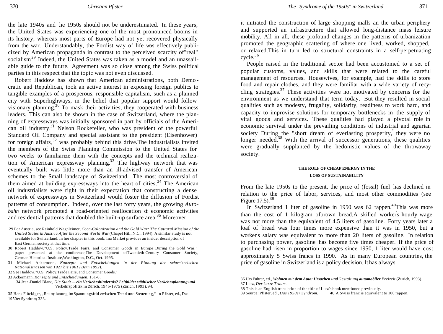the late 1940s and the 1950s should not be underestimated. In these years, the United States was experiencing one of the most pronounced booms in its history, whereas most parts of Europe had not yet recovered physically from the war. Understandably, the Fordist way of life was effectively publicized by American propaganda in contrast to the perceived scarcity of"real" socialism<sup>29</sup> Indeed, the United States was taken as a model and an unassailable guide to the future. Agreement was so close among the Swiss political parties in this respect that the topic was not even discussed.

Robert Haddow has shown that American administrations, both Demo cratic and Republican, took an active interest in exposing foreign publics to tangible examples of a prosperous, responsible capitalism, such as a planned city with Superhighways, in the belief that popular support would follow visionary planning. <sup>30</sup> To mask their activities, they cooperated with business leaders. This can also be shown in the case of Switzerland, where the planning of expressways was initially sponsored in part by officials of the American oil industry.<sup>31</sup> Nelson Rockefeller, who was president of the powerful Standard Oil Company and special assistant to the president (Eisenhower) for foreign affairs,  $32$  was probably behind this drive. The industrialists invited the members of the Swiss Planning Commission to the United States for two weeks to familiarize them with the concepts and the technical realization of American expressway planning.<sup>33</sup> The highway network that was eventually built was little more than an ill-advised transfer of American schemes to the Small landscape of Switzerland. The most controversial of them aimed at building expressways into the heart of cities.<sup>34</sup> The American oil industrialists were right in their expectation that constructing a dense network of expressways in Switzerland would foster the diffusion of Fordist patterns of consumption. Indeed, over the last forty years, the growing *Autobahn* network promoted a road-oriented reallocation of economic activities and residential patterns that doubled the built-up surface area.<sup>35</sup> Moreover,

29 For Austria, see Reinhold Wagnleimer, *Coca-Colonization and the Gold War: The Guttural Mission of the United States in Austria After the Second World War* (Chapel Hill, N.C., 1994). A similar study is not available for Switzerland. In her chapter in this book, Ina Merket provides an insider description of East German society at that time.

30 Robert Haddow,"U.S. Policy,Trade Fairs, and Consumer Goods in Europe During the Gold War," paper presented at the conference,The Development ofTwentieth-Century Consumer Society, German Historical Institute,Washington, D.C., Oct. 1995.

31 Michael Ackermann, *Konzepte und Entscheidungen in der Planung der schweizerischen Nationalstrassen von 1927 bis 1961 (Bern 1992).*

32 See Haddow,"U.S. Policy,Trade Fairs, and Consumer Goods."

33 Ackermann, *Konzepte und Entscheidungen,* 151-6.

34 Jean-Daniel Blanc, *Die Stadt — ein Verkehrshindernis? Leitbilder städtischer Verkehrsplanung und* Verkehrspolitik in Zürich, 1945-1975 (Zürich, 1993), 94.

35 Hans Flückiger, "Raumplanung imSpannungsfeld zwischen Trend und Steuerung," in Pfister, ed., Das 1950er Syndrom, 333.

it initiated the construction of large shopping malls an the urban periphery and supported an infrastructure that allowed long-distance mass leisure mobility. All in all, these profound changes in the patterns of urbanization promoted the geographic scattering of where one lived, worked, shopped, or relaxed.This in turn led to structural constraints in a self-perpetuating  $cycle.<sup>36</sup>$ 

People raised in the traditional sector had been accustomed to a set of popular customs, values, and skills that were related to the careful management of resources. Housewives, for example, had the skills to store food and repair clothes, and they were familiar with a wide variety of recycling strategies.<sup>37</sup> These activities were not motivated by concerns for the environment as we understand that term today. But they resulted in social qualities such as modesty, frugality, solidarity, readiness to work hard, and capacity to improvise solutions for temporary bottlenecks in the supply of vital goods and services. These qualities had played a pivotal role in economic survival under the prevailing conditions of industrial and agrarian society During the "short dream of everlasting prosperity," they were no longer needed. $38$  With the arrival of successor generations, these qualities were gradually supplanted by the hedonistic values of the throwaway society.

### **THE ROLF OF CHEAP ENERGY IN THE LOSS OF SUSTAINABILITY**

From the late 1950s to the present, the price of (fossil) fuel has declined in relation to the price of labor, services, and most other commodities (see Figure  $17.5$ ).<sup>39</sup>

In Switzerland 1 liter of gasoline in 1950 was 62 rappen.<sup>40</sup>This was more than the cost of 1 kilogram ofbrown bread.A skilled worker' s hourly wage was not more than the equivalent of 4.5 liters of gasoline. Forty years later a loaf of bread was four times more expensive than it was in 1950, but a worker ' s salary was equivalent to more than 20 liters of gasoline. In relation to purchasing power, gasoline has become five times cheaper. If the price of gasoline had risen in proportion to wages since 1950, 1 liter would have cost approximately 5 Swiss francs in 1990. As in many European countries, the price of gasoline in Switzerland is a policy decision. lt has always

38 This is an English translation of the title of Lutz's book mentioned previously.

39 Source: Pfister, ed., *Das 1950er Syndrom.* 40 A Swiss franc is equivalent to 100 rappen.

<sup>36</sup> Urs Fuhrer, ed., *Wohnen mit dem Auto: Ursachen und Gestaltung automobiler Freizeit* **(Zurich,** 1993). 37 Lutz, *Der kurze Traum.*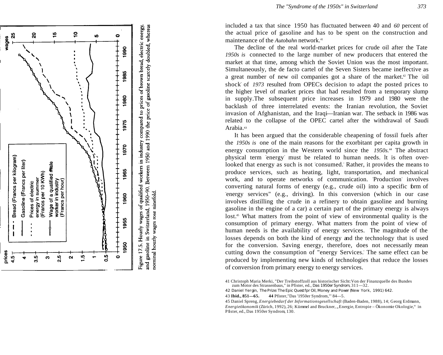

and gasoline in Switzerland, 1950-90. Between 1950 and 1990 the price of gasoline scarcely doubled, whereas nominal hourly wages rose ninefold.

maintenance of the *Autobahn* network.<sup>41</sup>

The decline of the real world -market prices for crude oil after the Tate *1950s is* connected to the large number of new producers that entered the market at that time, among which the Soviet Union was the most important. Simultaneously, the de facto cartel of the Seven Sisters became ineffective as a great number of new oil companies got a share of the market.<sup>42</sup> The 'oil shock" of *1973* resulted from OPEC' s decision to adapt the posted prices to the higher level of market prices that had resulted from a temporary slump in supply.The subsequent price increases in 1979 and 1980 were the backlash of three interrelated events: the Iranian revolution, the Soviet invasion of Afghanistan, and the Iraqi—Iranian war. The setback in 1986 was related to the collapse of the OPEC cartel after the withdrawal of Saudi Arabia.*<sup>43</sup>*

It has been argued that the considerable cheapening of fossil fuels after the *1950s is* one of the main reasons for the exorbitant per capita growth in energy consumption in the Western world since the *1950s.*<sup>44</sup> The abstract physical term "energy " must be related to human needs. lt is often overlooked that energy as such is not "consumed." Rather, it provides the means to produce services, such as heating, light, transportation, and mechanical work, and to operate networks of communication. Production involves converting natural forms of energy (e.g., crude oil) into a specific form of "energy services" (e.g., driving). In this conversion (which in our case involves distilling the crude in a refinery to obtain gasoline and burning gasoline in the engine of a car) a certain part of the primary energy is always lost.<sup>45</sup> What matters from the point of view of environmental quality is the consumption of primary energy. What matters from the point of view of human needs is the availability of energy services. The magnitude of the losses depends on both the kind of energy and the technology that is used for the conversion. Saving energy, therefore, does not necessarily mean cutting down the consumption of "energy Services. " The same effect can be produced by implementing new kinds of technologies that reduce the losses of conversion from primary energy to energy services.

41 Christoph Maria Merki, "Der Treibstoffzoll aus historischer Sicht:Von der Finanzquelle des Bundes zum Motor des Strassenbaus," in Pfister, ed., *Das 1950er Syndrom,* 311 —32.

42 Daniel Yergin, *The Prize: The Epic Quest fpr Oil, Money and Power* (New York, 1991) 642.

43 **Ibid., 851 —65. 44** Pfister,"Das '1950er Syndrom,"' 84 —5.

<sup>45</sup> Daniel Spreng, Energiebedarf der Informationsgesellschaft (Baden-Baden, 1988), 14; Georg Erdmann, Energieökonomik (Zürich, 1992), 26; Kümmel and Bruckner, "Energie, Entropie – Ökonomie Okologie," in Pfister, ed., Das 1950er Syndrom, 130.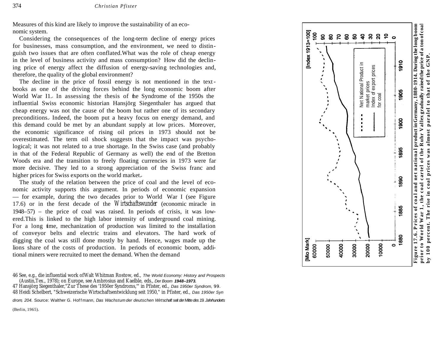Measures of this kind are likely to improve the sustainability of an eco nomic system.

Considering the consequences of the long -term decline of energy prices for businesses, mass consumption, and the environment, we need to distin guish two issues that are often conflated.What was the role of cheap energy in the level of business activity and mass consumption? How did the declin ing price of energy affect the diffusion of energy -saving technologies and, therefore, the quality of the global environment?

The decline in the price of fossil energy is not mentioned in the text books as one of the driving forces behind the long economic boom after World War I1. In assessing the thesis of the Syndrome of the 1950s the influential Swiss economic historian Hansjörg Siegenthaler has argued that cheap energy was not the cause of the boom but rather one of its secondary preconditions. Indeed, the boom put a heavy focus on energy demand, and this demand could be met by an abundant supply at low prices. Moreover, the economic significance of rising oil prices in 1973 should not be overestimated. The term oil shock suggests that the impact was psychological; it was not related to a true shortage. In the Swiss case (and probably in that of the Federal Republic of Germany as well) the end of the Bretton Woods era and the transition to freely floating currencies in 1973 were far more decisive. They led to a strong appreciation of the Swiss franc and higher prices for Swiss exports on the world market.

The study of the relation between the price of coal and the level of economic activity supports this argument. In periods of economic expansion — for example, during the two decades prior to World War I (see Figure 17.6) or in the ferst decade of the *Wirtschaftswunder* (economic miracle in 1948 –57) – the price of coal was raised. In periods of crisis, it was low ered.This is linked to the high labor intensity of underground coal mining. For a long time, mechanization of production was limited to the installation of conveyor belts and electric trains and elevators. The hard work of digging the coal was still done mostly by hand. Hence, wages made up the lio n's share of the costs of production. In periods of economic boom, additional miners were recruited to meet the demand. When the demand

46 See, e.g., die influential work ofWalt Whitman Rostow, ed., *The World Economy: History and Prospects* (Austin,Tex., 1978); on Europe, see Ambrosius and Kaelble, eds., *Der Boom 1948–1973.*

47 Hansjörg Siegenthaler,"Zur These des '1950er Syndroms,'" in Pfister, ed., *Das 1950er Syndrom, 99.* 48 Heidi Schelbert, "Schweizerische Wirtschaftsentwicklung seit 1950," in Pfister, ed., *Das 1950er Syn*

*drom, 204.* Source: Walther G. Hof f mann, *Das Wachstum der deutschen Wirtschaft seit derMittedes 19. Jahrhunderts*

(Berlin, 1965).